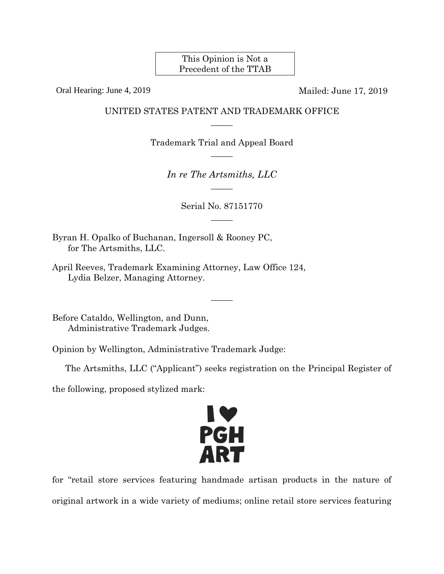This Opinion is Not a Precedent of the TTAB

Oral Hearing: June 4, 2019 Mailed: June 17, 2019

## UNITED STATES PATENT AND TRADEMARK OFFICE  $\overline{\phantom{a}}$

Trademark Trial and Appeal Board  $\overline{\phantom{a}}$ 

> *In re The Artsmiths, LLC*   $\overline{\phantom{a}}$

> > Serial No. 87151770  $\overline{\phantom{a}}$

> > > $\overline{\phantom{a}}$

Byran H. Opalko of Buchanan, Ingersoll & Rooney PC, for The Artsmiths, LLC.

April Reeves, Trademark Examining Attorney, Law Office 124, Lydia Belzer, Managing Attorney.

Before Cataldo, Wellington, and Dunn, Administrative Trademark Judges.

Opinion by Wellington, Administrative Trademark Judge:

The Artsmiths, LLC ("Applicant") seeks registration on the Principal Register of

the following, proposed stylized mark:



for "retail store services featuring handmade artisan products in the nature of original artwork in a wide variety of mediums; online retail store services featuring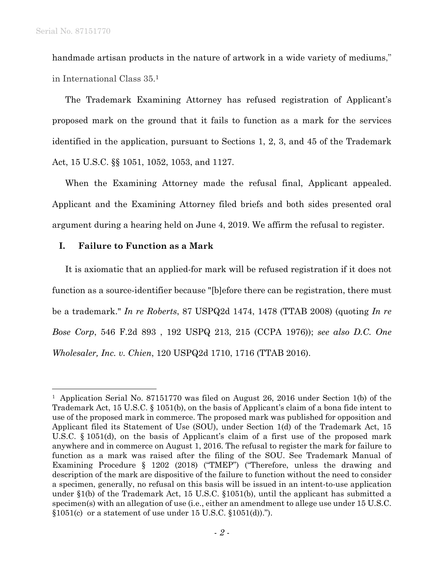1

handmade artisan products in the nature of artwork in a wide variety of mediums," in International Class 35.1

The Trademark Examining Attorney has refused registration of Applicant's proposed mark on the ground that it fails to function as a mark for the services identified in the application, pursuant to Sections 1, 2, 3, and 45 of the Trademark Act, 15 U.S.C. §§ 1051, 1052, 1053, and 1127.

When the Examining Attorney made the refusal final, Applicant appealed. Applicant and the Examining Attorney filed briefs and both sides presented oral argument during a hearing held on June 4, 2019. We affirm the refusal to register.

## **I. Failure to Function as a Mark**

It is axiomatic that an applied-for mark will be refused registration if it does not function as a source-identifier because "[b]efore there can be registration, there must be a trademark." *In re Roberts*, 87 USPQ2d 1474, 1478 (TTAB 2008) (quoting *In re Bose Corp*, 546 F.2d 893 , 192 USPQ 213, 215 (CCPA 1976)); *see also D.C. One Wholesaler, Inc. v. Chien*, 120 USPQ2d 1710, 1716 (TTAB 2016).

<sup>&</sup>lt;sup>1</sup> Application Serial No. 87151770 was filed on August 26, 2016 under Section 1(b) of the Trademark Act, 15 U.S.C. § 1051(b), on the basis of Applicant's claim of a bona fide intent to use of the proposed mark in commerce. The proposed mark was published for opposition and Applicant filed its Statement of Use (SOU), under Section 1(d) of the Trademark Act, 15 U.S.C. § 1051(d), on the basis of Applicant's claim of a first use of the proposed mark anywhere and in commerce on August 1, 2016. The refusal to register the mark for failure to function as a mark was raised after the filing of the SOU. See Trademark Manual of Examining Procedure § 1202 (2018) ("TMEP") ("Therefore, unless the drawing and description of the mark are dispositive of the failure to function without the need to consider a specimen, generally, no refusal on this basis will be issued in an intent-to-use application under §1(b) of the Trademark Act, 15 U.S.C. §1051(b), until the applicant has submitted a specimen(s) with an allegation of use (i.e., either an amendment to allege use under 15 U.S.C.  $$1051(c)$  or a statement of use under 15 U.S.C.  $$1051(d)$ .").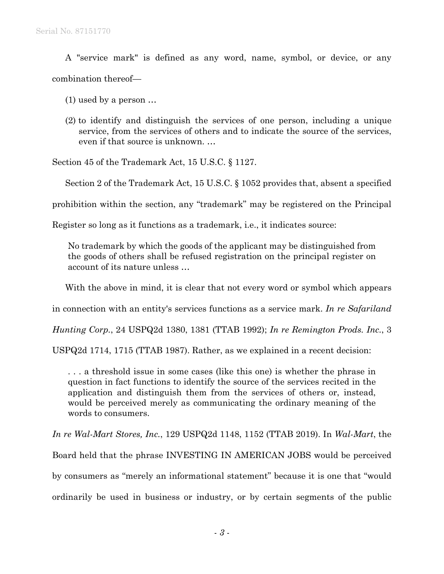A "service mark" is defined as any word, name, symbol, or device, or any combination thereof—

(1) used by a person …

(2) to identify and distinguish the services of one person, including a unique service, from the services of others and to indicate the source of the services, even if that source is unknown. …

Section 45 of the Trademark Act, 15 U.S.C. § 1127.

Section 2 of the Trademark Act, 15 U.S.C. § 1052 provides that, absent a specified

prohibition within the section, any "trademark" may be registered on the Principal

Register so long as it functions as a trademark, i.e., it indicates source:

No trademark by which the goods of the applicant may be distinguished from the goods of others shall be refused registration on the principal register on account of its nature unless …

With the above in mind, it is clear that not every word or symbol which appears

in connection with an entity's services functions as a service mark. *In re Safariland* 

*Hunting Corp.*, 24 USPQ2d 1380, 1381 (TTAB 1992); *In re Remington Prods. Inc.*, 3

USPQ2d 1714, 1715 (TTAB 1987). Rather, as we explained in a recent decision:

. . . a threshold issue in some cases (like this one) is whether the phrase in question in fact functions to identify the source of the services recited in the application and distinguish them from the services of others or, instead, would be perceived merely as communicating the ordinary meaning of the words to consumers.

*In re Wal-Mart Stores, Inc.*, 129 USPQ2d 1148, 1152 (TTAB 2019). In *Wal-Mart*, the Board held that the phrase INVESTING IN AMERICAN JOBS would be perceived by consumers as "merely an informational statement" because it is one that "would ordinarily be used in business or industry, or by certain segments of the public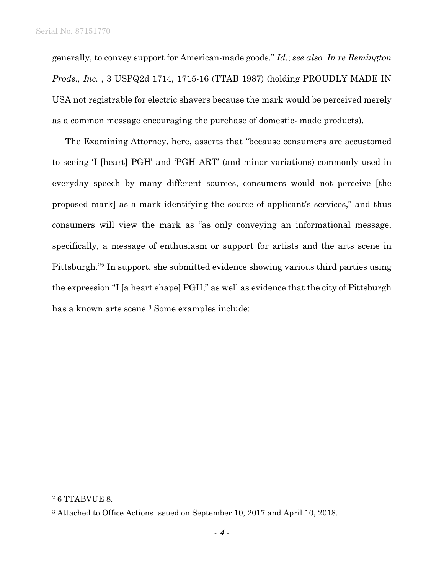generally, to convey support for American-made goods." *Id.*; *see also In re Remington Prods., Inc.* , 3 USPQ2d 1714, 1715-16 (TTAB 1987) (holding PROUDLY MADE IN USA not registrable for electric shavers because the mark would be perceived merely as a common message encouraging the purchase of domestic- made products).

The Examining Attorney, here, asserts that "because consumers are accustomed to seeing 'I [heart] PGH' and 'PGH ART' (and minor variations) commonly used in everyday speech by many different sources, consumers would not perceive [the proposed mark] as a mark identifying the source of applicant's services," and thus consumers will view the mark as "as only conveying an informational message, specifically, a message of enthusiasm or support for artists and the arts scene in Pittsburgh."2 In support, she submitted evidence showing various third parties using the expression "I [a heart shape] PGH," as well as evidence that the city of Pittsburgh has a known arts scene.<sup>3</sup> Some examples include:

<sup>2 6</sup> TTABVUE 8.

<sup>3</sup> Attached to Office Actions issued on September 10, 2017 and April 10, 2018.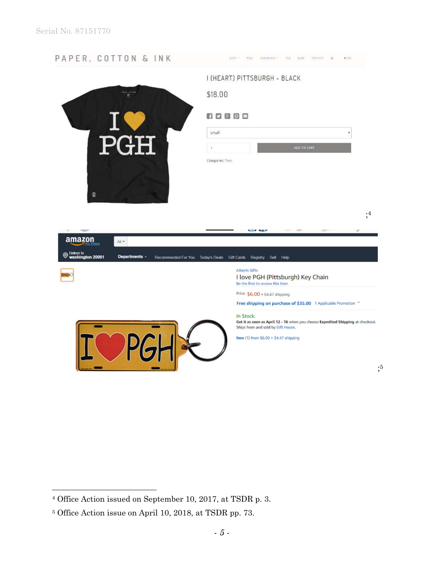

<sup>4</sup> Office Action issued on September 10, 2017, at TSDR p. 3.

<sup>5</sup> Office Action issue on April 10, 2018, at TSDR pp. 73.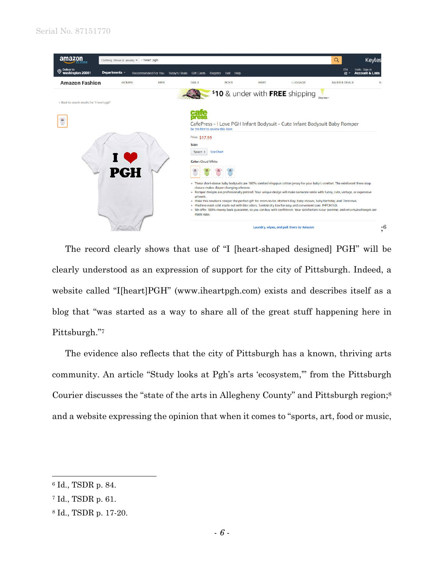

The record clearly shows that use of "I [heart-shaped designed] PGH" will be clearly understood as an expression of support for the city of Pittsburgh. Indeed, a website called "I[heart]PGH" (www.iheartpgh.com) exists and describes itself as a blog that "was started as a way to share all of the great stuff happening here in Pittsburgh."7

The evidence also reflects that the city of Pittsburgh has a known, thriving arts community. An article "Study looks at Pgh's arts 'ecosystem,'" from the Pittsburgh Courier discusses the "state of the arts in Allegheny County" and Pittsburgh region;8 and a website expressing the opinion that when it comes to "sports, art, food or music,

<sup>6</sup> Id., TSDR p. 84.

<sup>7</sup> Id., TSDR p. 61.

<sup>8</sup> Id., TSDR p. 17-20.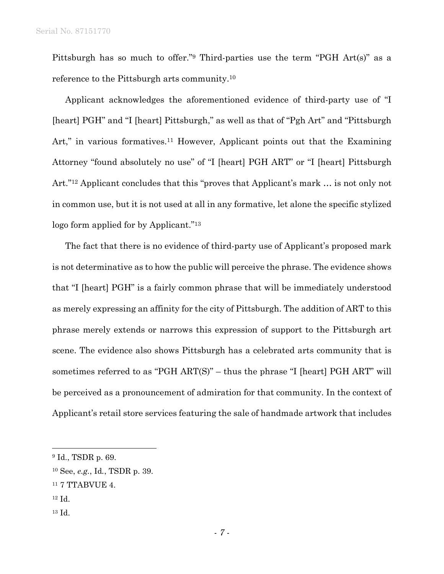Pittsburgh has so much to offer."9 Third-parties use the term "PGH Art(s)" as a reference to the Pittsburgh arts community.10

Applicant acknowledges the aforementioned evidence of third-party use of "I [heart] PGH" and "I [heart] Pittsburgh," as well as that of "Pgh Art" and "Pittsburgh Art," in various formatives.<sup>11</sup> However, Applicant points out that the Examining Attorney "found absolutely no use" of "I [heart] PGH ART" or "I [heart] Pittsburgh Art."12 Applicant concludes that this "proves that Applicant's mark … is not only not in common use, but it is not used at all in any formative, let alone the specific stylized logo form applied for by Applicant."13

The fact that there is no evidence of third-party use of Applicant's proposed mark is not determinative as to how the public will perceive the phrase. The evidence shows that "I [heart] PGH" is a fairly common phrase that will be immediately understood as merely expressing an affinity for the city of Pittsburgh. The addition of ART to this phrase merely extends or narrows this expression of support to the Pittsburgh art scene. The evidence also shows Pittsburgh has a celebrated arts community that is sometimes referred to as "PGH ART(S)" – thus the phrase "I [heart] PGH ART" will be perceived as a pronouncement of admiration for that community. In the context of Applicant's retail store services featuring the sale of handmade artwork that includes

12 Id.

 $\overline{a}$ 

13 Id.

<sup>9</sup> Id., TSDR p. 69.

<sup>10</sup> See, *e.g.*, Id*.*, TSDR p. 39.

 $^{11}$  7 TTABVUE 4.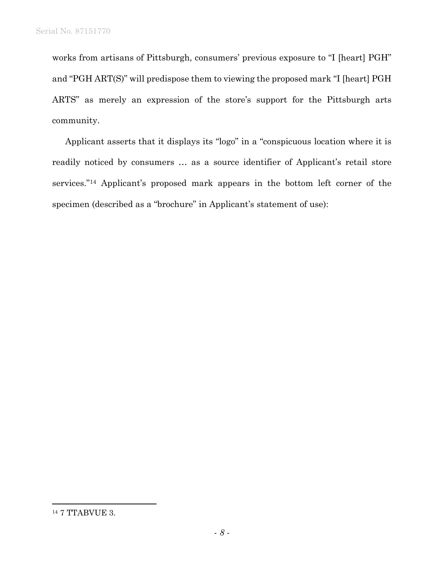works from artisans of Pittsburgh, consumers' previous exposure to "I [heart] PGH" and "PGH ART(S)" will predispose them to viewing the proposed mark "I [heart] PGH ARTS" as merely an expression of the store's support for the Pittsburgh arts community.

Applicant asserts that it displays its "logo" in a "conspicuous location where it is readily noticed by consumers … as a source identifier of Applicant's retail store services."14 Applicant's proposed mark appears in the bottom left corner of the specimen (described as a "brochure" in Applicant's statement of use):

<sup>14 7</sup> TTABVUE 3.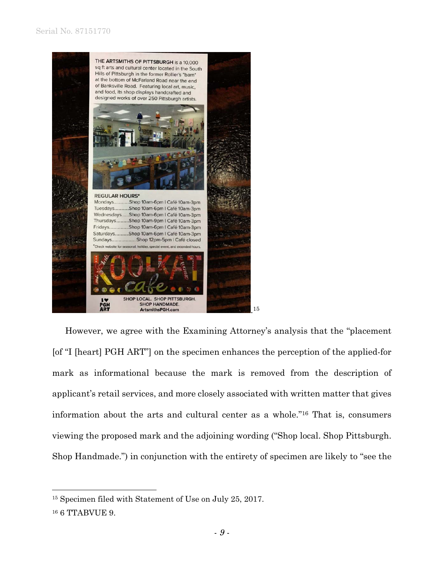

However, we agree with the Examining Attorney's analysis that the "placement [of "I [heart] PGH ART"] on the specimen enhances the perception of the applied-for mark as informational because the mark is removed from the description of applicant's retail services, and more closely associated with written matter that gives information about the arts and cultural center as a whole."16 That is, consumers viewing the proposed mark and the adjoining wording ("Shop local. Shop Pittsburgh. Shop Handmade.") in conjunction with the entirety of specimen are likely to "see the

<sup>15</sup> Specimen filed with Statement of Use on July 25, 2017.

<sup>16 6</sup> TTABVUE 9.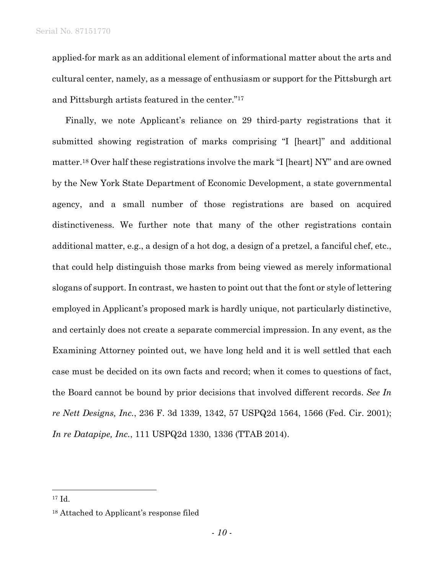applied-for mark as an additional element of informational matter about the arts and cultural center, namely, as a message of enthusiasm or support for the Pittsburgh art and Pittsburgh artists featured in the center."17

Finally, we note Applicant's reliance on 29 third-party registrations that it submitted showing registration of marks comprising "I [heart]" and additional matter.18 Over half these registrations involve the mark "I [heart] NY" and are owned by the New York State Department of Economic Development, a state governmental agency, and a small number of those registrations are based on acquired distinctiveness. We further note that many of the other registrations contain additional matter, e.g., a design of a hot dog, a design of a pretzel, a fanciful chef, etc., that could help distinguish those marks from being viewed as merely informational slogans of support. In contrast, we hasten to point out that the font or style of lettering employed in Applicant's proposed mark is hardly unique, not particularly distinctive, and certainly does not create a separate commercial impression. In any event, as the Examining Attorney pointed out, we have long held and it is well settled that each case must be decided on its own facts and record; when it comes to questions of fact, the Board cannot be bound by prior decisions that involved different records. *See In re Nett Designs, Inc.*, 236 F. 3d 1339, 1342, 57 USPQ2d 1564, 1566 (Fed. Cir. 2001); *In re Datapipe, Inc.*, 111 USPQ2d 1330, 1336 (TTAB 2014).

<sup>17</sup> Id.

<sup>18</sup> Attached to Applicant's response filed